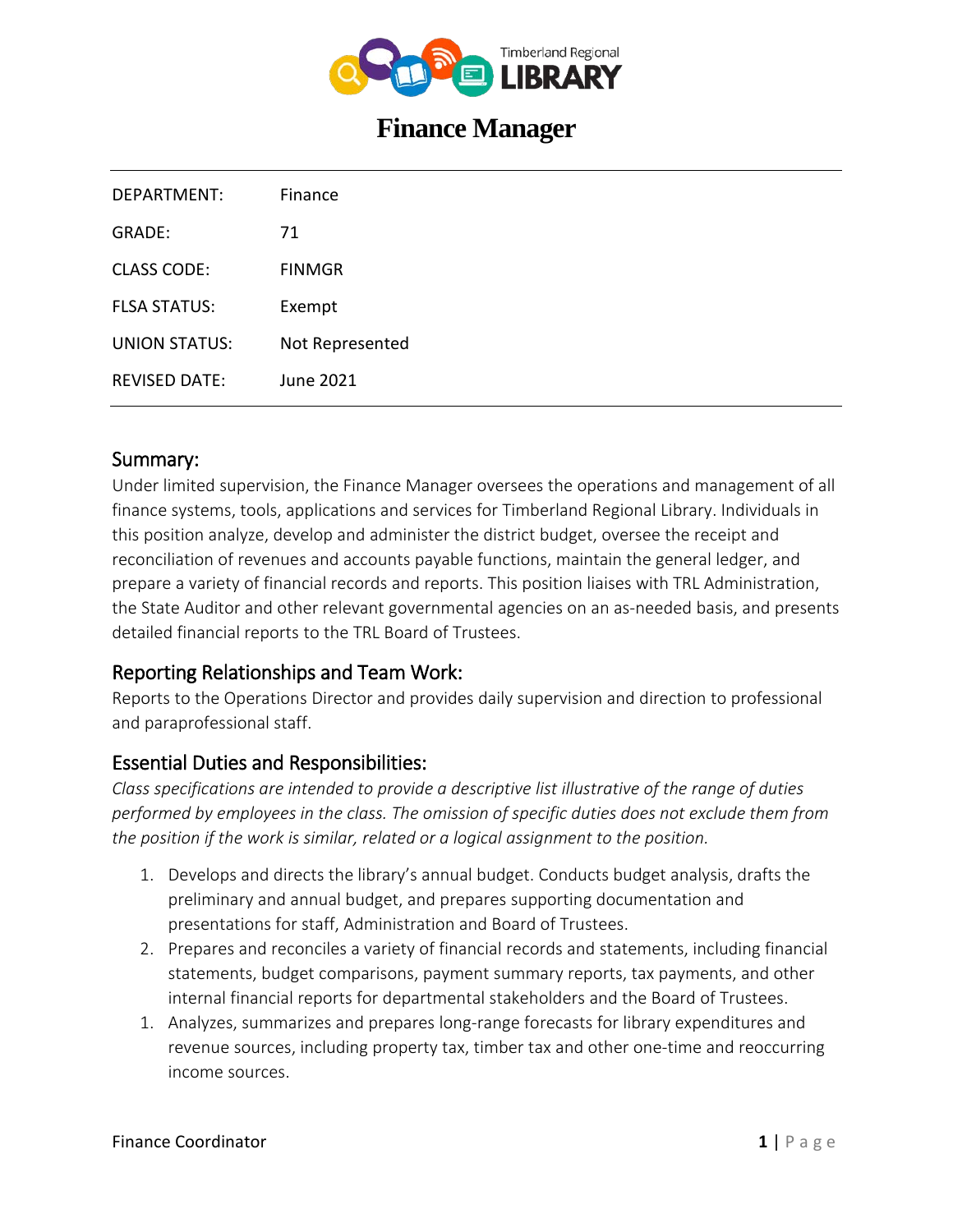

# **Finance Manager**

| DEPARTMENT:          | Finance         |
|----------------------|-----------------|
| GRADE:               | 71              |
| CLASS CODE:          | FINMGR          |
| <b>FLSA STATUS:</b>  | Exempt          |
| UNION STATUS:        | Not Represented |
| <b>REVISED DATE:</b> | June 2021       |
|                      |                 |

#### Summary:

Under limited supervision, the Finance Manager oversees the operations and management of all finance systems, tools, applications and services for Timberland Regional Library. Individuals in this position analyze, develop and administer the district budget, oversee the receipt and reconciliation of revenues and accounts payable functions, maintain the general ledger, and prepare a variety of financial records and reports. This position liaises with TRL Administration, the State Auditor and other relevant governmental agencies on an as-needed basis, and presents detailed financial reports to the TRL Board of Trustees.

## Reporting Relationships and Team Work:

Reports to the Operations Director and provides daily supervision and direction to professional and paraprofessional staff.

## Essential Duties and Responsibilities:

*Class specifications are intended to provide a descriptive list illustrative of the range of duties performed by employees in the class. The omission of specific duties does not exclude them from the position if the work is similar, related or a logical assignment to the position.*

- 1. Develops and directs the library's annual budget. Conducts budget analysis, drafts the preliminary and annual budget, and prepares supporting documentation and presentations for staff, Administration and Board of Trustees.
- 2. Prepares and reconciles a variety of financial records and statements, including financial statements, budget comparisons, payment summary reports, tax payments, and other internal financial reports for departmental stakeholders and the Board of Trustees.
- 1. Analyzes, summarizes and prepares long-range forecasts for library expenditures and revenue sources, including property tax, timber tax and other one-time and reoccurring income sources.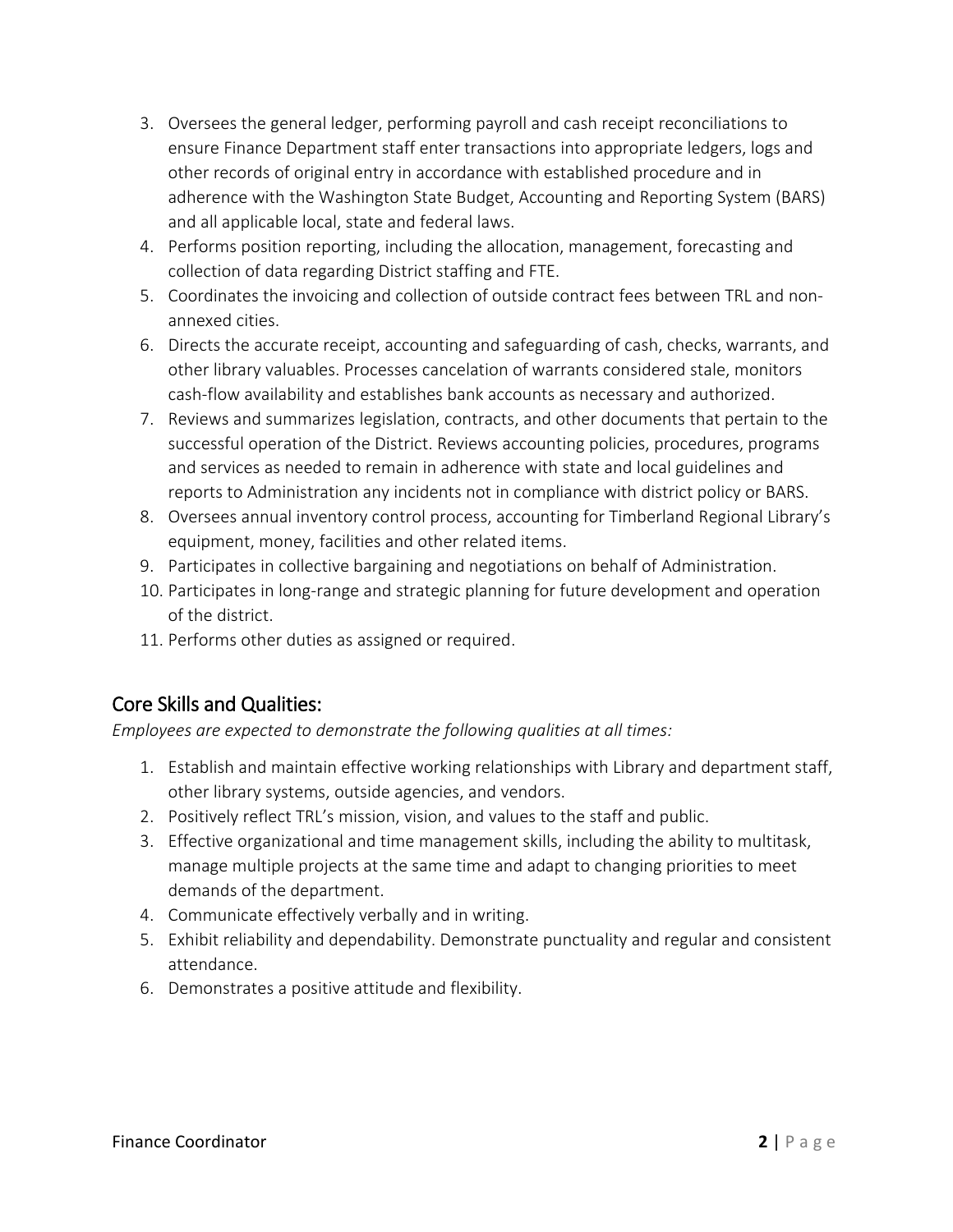- 3. Oversees the general ledger, performing payroll and cash receipt reconciliations to ensure Finance Department staff enter transactions into appropriate ledgers, logs and other records of original entry in accordance with established procedure and in adherence with the Washington State Budget, Accounting and Reporting System (BARS) and all applicable local, state and federal laws.
- 4. Performs position reporting, including the allocation, management, forecasting and collection of data regarding District staffing and FTE.
- 5. Coordinates the invoicing and collection of outside contract fees between TRL and nonannexed cities.
- 6. Directs the accurate receipt, accounting and safeguarding of cash, checks, warrants, and other library valuables. Processes cancelation of warrants considered stale, monitors cash-flow availability and establishes bank accounts as necessary and authorized.
- 7. Reviews and summarizes legislation, contracts, and other documents that pertain to the successful operation of the District. Reviews accounting policies, procedures, programs and services as needed to remain in adherence with state and local guidelines and reports to Administration any incidents not in compliance with district policy or BARS.
- 8. Oversees annual inventory control process, accounting for Timberland Regional Library's equipment, money, facilities and other related items.
- 9. Participates in collective bargaining and negotiations on behalf of Administration.
- 10. Participates in long-range and strategic planning for future development and operation of the district.
- 11. Performs other duties as assigned or required.

# Core Skills and Qualities:

*Employees are expected to demonstrate the following qualities at all times:*

- 1. Establish and maintain effective working relationships with Library and department staff, other library systems, outside agencies, and vendors.
- 2. Positively reflect TRL's mission, vision, and values to the staff and public.
- 3. Effective organizational and time management skills, including the ability to multitask, manage multiple projects at the same time and adapt to changing priorities to meet demands of the department.
- 4. Communicate effectively verbally and in writing.
- 5. Exhibit reliability and dependability. Demonstrate punctuality and regular and consistent attendance.
- 6. Demonstrates a positive attitude and flexibility.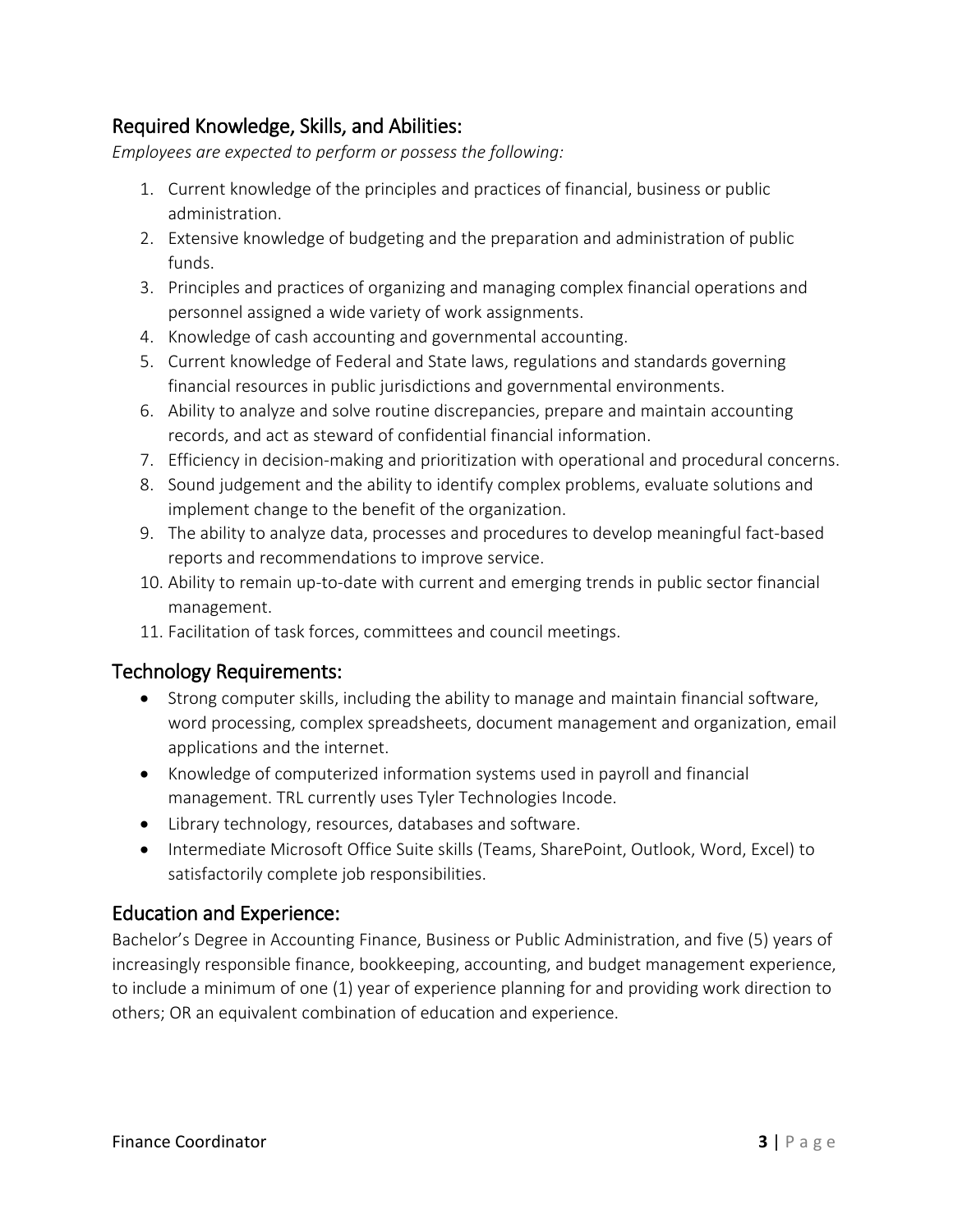# Required Knowledge, Skills, and Abilities:

*Employees are expected to perform or possess the following:*

- 1. Current knowledge of the principles and practices of financial, business or public administration.
- 2. Extensive knowledge of budgeting and the preparation and administration of public funds.
- 3. Principles and practices of organizing and managing complex financial operations and personnel assigned a wide variety of work assignments.
- 4. Knowledge of cash accounting and governmental accounting.
- 5. Current knowledge of Federal and State laws, regulations and standards governing financial resources in public jurisdictions and governmental environments.
- 6. Ability to analyze and solve routine discrepancies, prepare and maintain accounting records, and act as steward of confidential financial information.
- 7. Efficiency in decision-making and prioritization with operational and procedural concerns.
- 8. Sound judgement and the ability to identify complex problems, evaluate solutions and implement change to the benefit of the organization.
- 9. The ability to analyze data, processes and procedures to develop meaningful fact-based reports and recommendations to improve service.
- 10. Ability to remain up-to-date with current and emerging trends in public sector financial management.
- 11. Facilitation of task forces, committees and council meetings.

#### Technology Requirements:

- Strong computer skills, including the ability to manage and maintain financial software, word processing, complex spreadsheets, document management and organization, email applications and the internet.
- Knowledge of computerized information systems used in payroll and financial management. TRL currently uses Tyler Technologies Incode.
- Library technology, resources, databases and software.
- Intermediate Microsoft Office Suite skills (Teams, SharePoint, Outlook, Word, Excel) to satisfactorily complete job responsibilities.

## Education and Experience:

Bachelor's Degree in Accounting Finance, Business or Public Administration, and five (5) years of increasingly responsible finance, bookkeeping, accounting, and budget management experience, to include a minimum of one (1) year of experience planning for and providing work direction to others; OR an equivalent combination of education and experience.